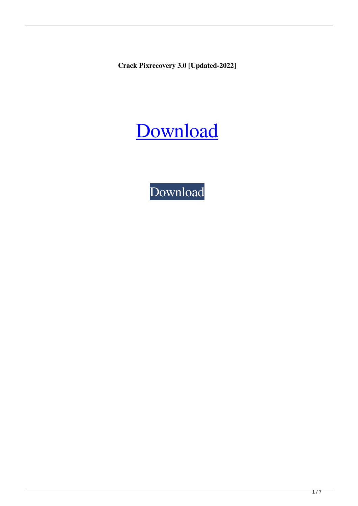**Crack Pixrecovery 3.0 [Updated-2022]**



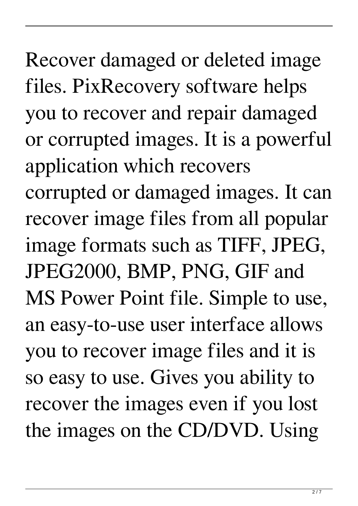Recover damaged or deleted image files. PixRecovery software helps you to recover and repair damaged or corrupted images. It is a powerful application which recovers corrupted or damaged images. It can recover image files from all popular image formats such as TIFF, JPEG, JPEG2000, BMP, PNG, GIF and MS Power Point file. Simple to use, an easy-to-use user interface allows you to recover image files and it is so easy to use. Gives you ability to recover the images even if you lost the images on the CD/DVD. Using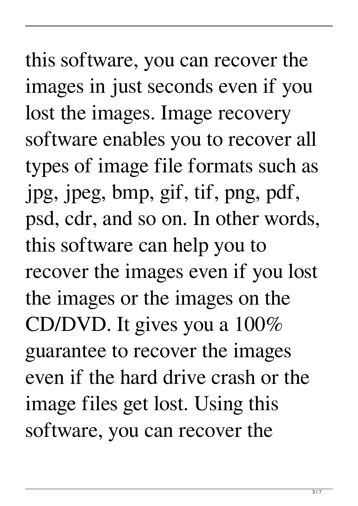this software, you can recover the images in just seconds even if you lost the images. Image recovery software enables you to recover all types of image file formats such as jpg, jpeg, bmp, gif, tif, png, pdf, psd, cdr, and so on. In other words, this software can help you to recover the images even if you lost the images or the images on the CD/DVD. It gives you a 100% guarantee to recover the images even if the hard drive crash or the image files get lost. Using this software, you can recover the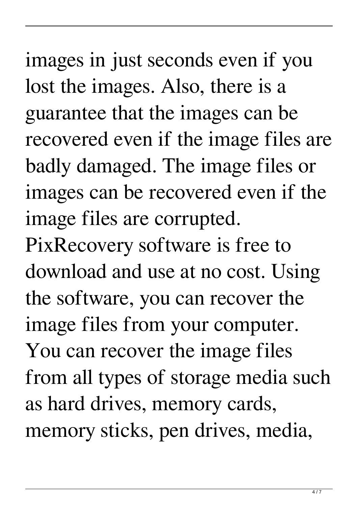images in just seconds even if you lost the images. Also, there is a guarantee that the images can be recovered even if the image files are badly damaged. The image files or images can be recovered even if the image files are corrupted. PixRecovery software is free to download and use at no cost. Using the software, you can recover the image files from your computer. You can recover the image files from all types of storage media such as hard drives, memory cards, memory sticks, pen drives, media,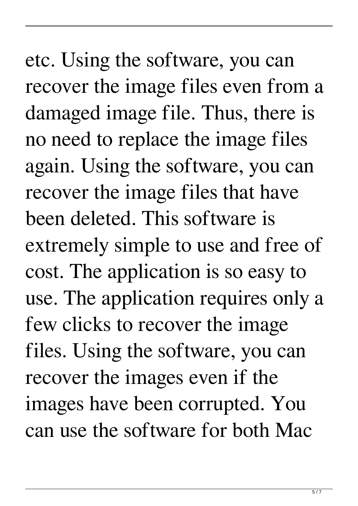etc. Using the software, you can recover the image files even from a damaged image file. Thus, there is no need to replace the image files again. Using the software, you can recover the image files that have been deleted. This software is extremely simple to use and free of cost. The application is so easy to use. The application requires only a few clicks to recover the image files. Using the software, you can recover the images even if the images have been corrupted. You can use the software for both Mac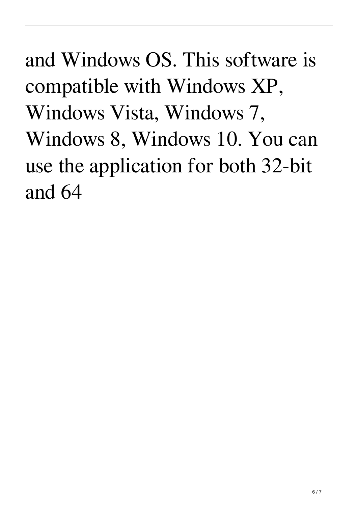and Windows OS. This software is compatible with Windows XP, Windows Vista, Windows 7, Windows 8, Windows 10. You can use the application for both 32-bit and 64